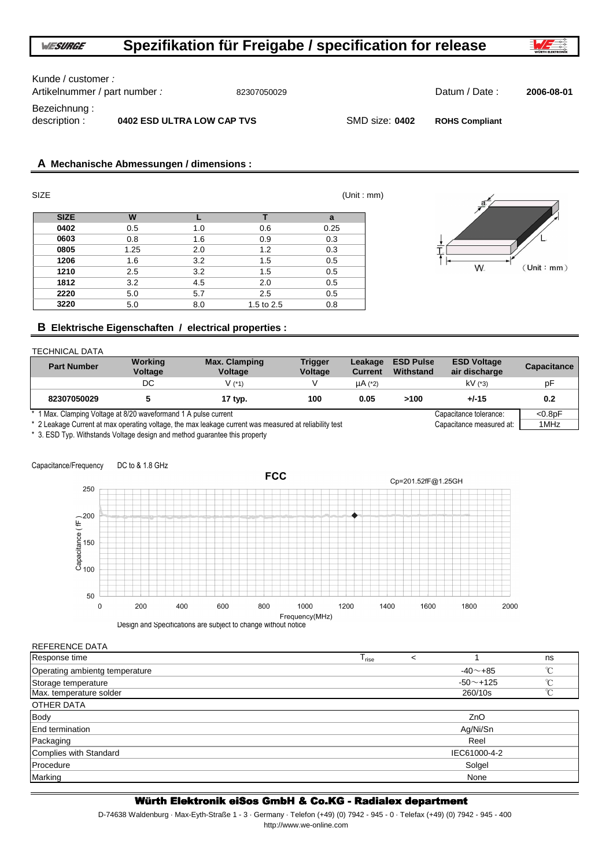Kunde / customer :

Artikelnummer / part number : 82307050029 Datum / Date : **2006-08-01**

**A Mechanische Abmessungen / dimensions :**

Bezeichnung :

**ROHS Compliant**

description : **0402 ESD ULTRA LOW CAP TVS** SMD size: 0402

| <b>SIZE</b> |      |     |            | (Unit : mm) |
|-------------|------|-----|------------|-------------|
| <b>SIZE</b> | W    |     |            | a           |
| 0402        | 0.5  | 1.0 | 0.6        | 0.25        |
| 0603        | 0.8  | 1.6 | 0.9        | 0.3         |
| 0805        | 1.25 | 2.0 | 1.2        | 0.3         |
| 1206        | 1.6  | 3.2 | 1.5        | 0.5         |
| 1210        | 2.5  | 3.2 | 1.5        | 0.5         |
| 1812        | 3.2  | 4.5 | 2.0        | 0.5         |
| 2220        | 5.0  | 5.7 | 2.5        | 0.5         |
| 3220        | 5.0  | 8.0 | 1.5 to 2.5 | 0.8         |



# **B Elektrische Eigenschaften / electrical properties :**

### TECHNICAL DATA

| <b>Part Number</b>                                              | Working<br>Voltage | <b>Max. Clamping</b><br><b>Voltage</b> | <b>Trigger</b><br><b>Voltage</b> | Leakage<br><b>Current</b> | <b>ESD Pulse</b><br>Withstand | <b>ESD Voltage</b><br>air discharge | <b>Capacitance</b> |
|-----------------------------------------------------------------|--------------------|----------------------------------------|----------------------------------|---------------------------|-------------------------------|-------------------------------------|--------------------|
|                                                                 | DC                 | V (*1)                                 |                                  | $\mu$ A (*2)              |                               | $kV$ (*3)                           | рF                 |
| 82307050029                                                     |                    | 17 typ.                                | 100                              | 0.05                      | >100                          | $+/-15$                             | 0.2                |
| * 1 Max. Clamping Voltage at 8/20 waveformand 1 A pulse current |                    |                                        |                                  |                           |                               | Capacitance tolerance:              | $< 0.8$ pF         |

\* 2 Leakage Current at max operating voltage, the max leakage current was measured at reliability test Capacitance measured at: 1MHz

\* 3. ESD Typ. Withstands Voltage design and method guarantee this property

## Capacitance/Frequency DC to & 1.8 GHz



Design and Specifications are subject to change without notice

| REFERENCE DATA                 |                                    |  |
|--------------------------------|------------------------------------|--|
| Response time                  | ns<br>$\prec$<br><sup>I</sup> rise |  |
| Operating ambientg temperature | $\sim$<br>$-40$ $-+85$             |  |
| Storage temperature            | $\sim$<br>$-50$ ~ $+125$           |  |
| Max. temperature solder        | $\sim$<br>260/10s                  |  |
| OTHER DATA                     |                                    |  |
| <b>Body</b>                    | ZnO                                |  |
| End termination                | Ag/Ni/Sn                           |  |
| Packaging                      | Reel                               |  |
| Complies with Standard         | IEC61000-4-2                       |  |
| Procedure                      | Solgel                             |  |
| Marking                        | None                               |  |

# Würth Elektronik eiSos GmbH & Co.KG - Radialex department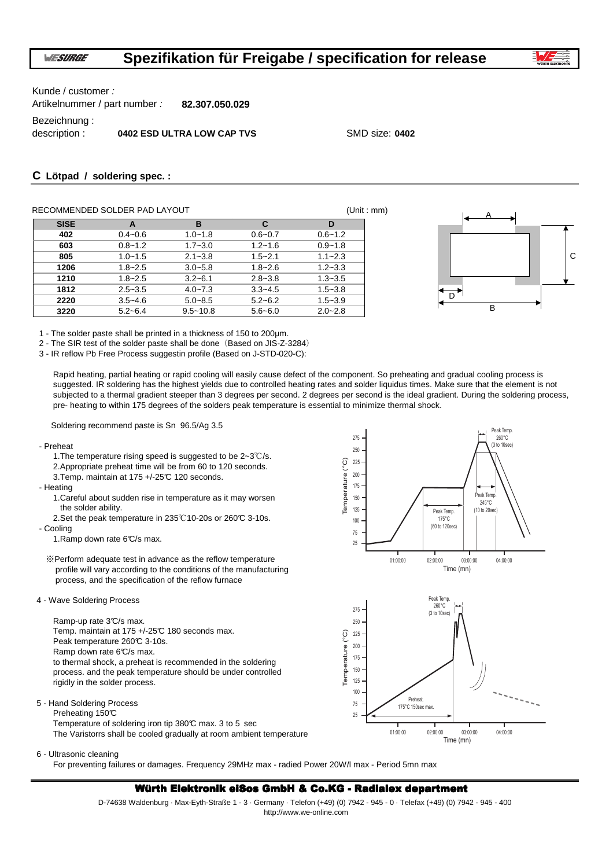

C

Kunde / customer :

Artikelnummer / part number : **82.307.050.029**

Bezeichnung :

description : **0402 ESD ULTRA LOW CAP TVS** SMD size: **0402**

# **C Lötpad / soldering spec. :**

|             | RECOMMENDED SOLDER PAD LAYOUT |              |             |             | (Unit : mm) |
|-------------|-------------------------------|--------------|-------------|-------------|-------------|
| <b>SISE</b> | A                             | в            | C           | D           |             |
| 402         | $0.4 - 0.6$                   | $1.0 - 1.8$  | $0.6 - 0.7$ | $0.6 - 1.2$ |             |
| 603         | $0.8 - 1.2$                   | $1.7 - 3.0$  | $1.2 - 1.6$ | $0.9 - 1.8$ |             |
| 805         | $1.0 - 1.5$                   | $2.1 - 3.8$  | $1.5 - 2.1$ | $1.1 - 2.3$ |             |
| 1206        | $1.8 - 2.5$                   | $3.0 - 5.8$  | $1.8 - 2.6$ | $1.2 - 3.3$ |             |
| 1210        | $1.8 - 2.5$                   | $3.2 - 6.1$  | $2.8 - 3.8$ | $1.3 - 3.5$ |             |
| 1812        | $2.5 - 3.5$                   | $4.0 - 7.3$  | $3.3 - 4.5$ | $1.5 - 3.8$ |             |
| 2220        | $3.5 - 4.6$                   | $5.0 - 8.5$  | $5.2 - 6.2$ | $1.5 - 3.9$ |             |
| 3220        | $5.2 - 6.4$                   | $9.5 - 10.8$ | $5.6 - 6.0$ | $2.0 - 2.8$ | в           |

1 - The solder paste shall be printed in a thickness of 150 to 200µm.

2 - The SIR test of the solder paste shall be done (Based on JIS-Z-3284)

3 - IR reflow Pb Free Process suggestin profile (Based on J-STD-020-C):

Rapid heating, partial heating or rapid cooling will easily cause defect of the component. So preheating and gradual cooling process is suggested. IR soldering has the highest yields due to controlled heating rates and solder liquidus times. Make sure that the element is not subjected to a thermal gradient steeper than 3 degrees per second. 2 degrees per second is the ideal gradient. During the soldering process, pre- heating to within 175 degrees of the solders peak temperature is essential to minimize thermal shock.

Soldering recommend paste is Sn 96.5/Ag 3.5

- Preheat
	- 1.The temperature rising speed is suggested to be 2~3℃/s.

2.Appropriate preheat time will be from 60 to 120 seconds. 3.Temp. maintain at 175 +/-25°C 120 seconds.

- Heating

- 1.Careful about sudden rise in temperature as it may worsen
- the solder ability. 2.Set the peak temperature in 235℃10-20s or 260℃ 3-10s.
- Cooling

1.Ramp down rate 6°C/s max.

※Perform adequate test in advance as the reflow temperature profile will vary according to the conditions of the manufacturing process, and the specification of the reflow furnace

4 - Wave Soldering Process

Ramp-up rate 3°C/s max. Temp. maintain at 175 +/-25°C 180 seconds max. Peak temperature 260℃ 3-10s. Ramp down rate 6°C/s max. to thermal shock, a preheat is recommended in the soldering process. and the peak temperature should be under controlled rigidly in the solder process.

5 - Hand Soldering Process

Preheating 150°C Temperature of soldering iron tip 380°C max. 3 to 5 sec The Varistorrs shall be cooled gradually at room ambient temperature



Time (mn)

02:00:00 03:00:00 04:00:00

01:00:00

25

### 6 - Ultrasonic cleaning

For preventing failures or damages. Frequency 29MHz max - radied Power 20W/l max - Period 5mn max

## Würth Elektronik eiSos GmbH & Co.KG - Radialex department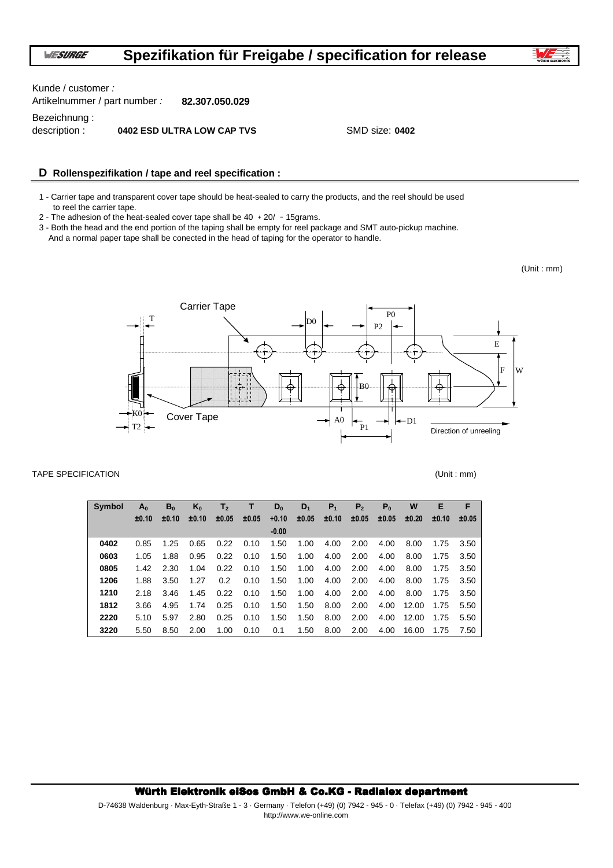Artikelnummer / part number : **82.307.050.029** Bezeichnung : description : **0402 ESD ULTRA LOW CAP TVS** SMD size: 0402 Kunde / customer :

# **D Rollenspezifikation / tape and reel specification :**

1 - Carrier tape and transparent cover tape should be heat-sealed to carry the products, and the reel should be used to reel the carrier tape.

2 - The adhesion of the heat-sealed cover tape shall be  $40 + 20/ -15$ grams.

3 - Both the head and the end portion of the taping shall be empty for reel package and SMT auto-pickup machine. And a normal paper tape shall be conected in the head of taping for the operator to handle.

(Unit : mm)



### TAPE SPECIFICATION (Unit : mm)

| <b>Symbol</b> | $A_{0}$ | B <sub>0</sub> | $K_0$ | T,    | т     | $D_0$   | $D_1$ | $P_{1}$ | Р,    | $P_{0}$ | W     | E     | F     |
|---------------|---------|----------------|-------|-------|-------|---------|-------|---------|-------|---------|-------|-------|-------|
|               | ±0.10   | ±0.10          | ±0.10 | ±0.05 | ±0.05 | $+0.10$ | ±0.05 | ±0.10   | ±0.05 | ±0.05   | ±0.20 | ±0.10 | ±0.05 |
|               |         |                |       |       |       | $-0.00$ |       |         |       |         |       |       |       |
| 0402          | 0.85    | 1.25           | 0.65  | 0.22  | 0.10  | 1.50    | 1.00  | 4.00    | 2.00  | 4.00    | 8.00  | 1.75  | 3.50  |
| 0603          | 1.05    | 1.88           | 0.95  | 0.22  | 0.10  | 1.50    | 1.00  | 4.00    | 2.00  | 4.00    | 8.00  | 1.75  | 3.50  |
| 0805          | 1.42    | 2.30           | 1.04  | 0.22  | 0.10  | 1.50    | 1.00  | 4.00    | 2.00  | 4.00    | 8.00  | 1.75  | 3.50  |
| 1206          | 1.88    | 3.50           | 1.27  | 0.2   | 0.10  | 1.50    | 1.00  | 4.00    | 2.00  | 4.00    | 8.00  | 1.75  | 3.50  |
| 1210          | 2.18    | 3.46           | 1.45  | 0.22  | 0.10  | 1.50    | 1.00  | 4.00    | 2.00  | 4.00    | 8.00  | 1.75  | 3.50  |
| 1812          | 3.66    | 4.95           | 1.74  | 0.25  | 0.10  | 1.50    | 1.50  | 8.00    | 2.00  | 4.00    | 12.00 | 1.75  | 5.50  |
| 2220          | 5.10    | 5.97           | 2.80  | 0.25  | 0.10  | 1.50    | 1.50  | 8.00    | 2.00  | 4.00    | 12.00 | 1.75  | 5.50  |
| 3220          | 5.50    | 8.50           | 2.00  | 1.00  | 0.10  | 0.1     | 1.50  | 8.00    | 2.00  | 4.00    | 16.00 | 1.75  | 7.50  |

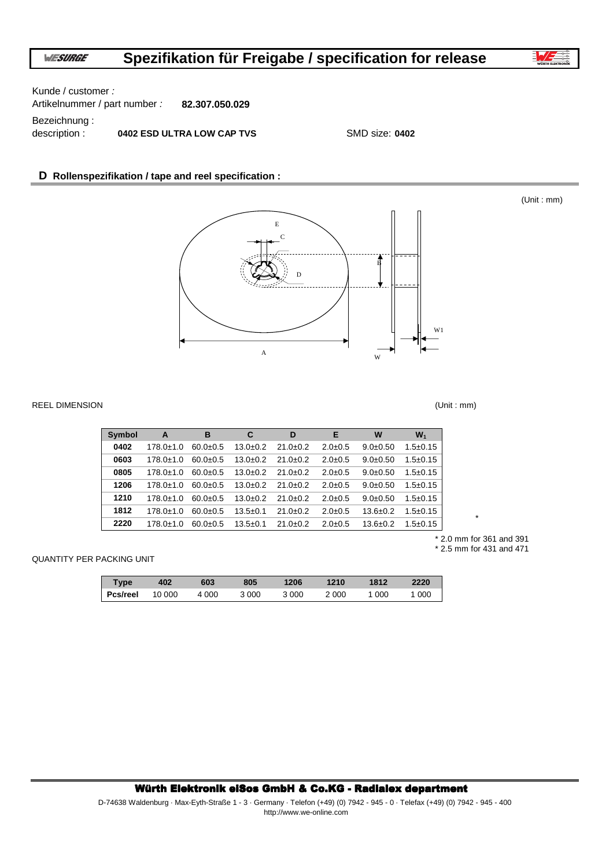

(Unit : mm)

Kunde / customer :

Artikelnummer / part number : **82.307.050.029**

Bezeichnung :

description : **0402 ESD ULTRA LOW CAP TVS** SMD size: 0402

# **D Rollenspezifikation / tape and reel specification :**



### REEL DIMENSION (Unit : mm)

| <b>Symbol</b> | A               | в              | C              | D              | Е             | W              | $W_1$          |
|---------------|-----------------|----------------|----------------|----------------|---------------|----------------|----------------|
| 0402          | $178.0 + 1.0$   | $60.0 \pm 0.5$ | $13.0+0.2$     | $21.0 \pm 0.2$ | $2.0 \pm 0.5$ | $9.0 \pm 0.50$ | $1.5 \pm 0.15$ |
| 0603          | $178.0 \pm 1.0$ | $60.0 \pm 0.5$ | $13.0+0.2$     | $21.0 \pm 0.2$ | $2.0 \pm 0.5$ | $9.0 \pm 0.50$ | $1.5 \pm 0.15$ |
| 0805          | $178.0 + 1.0$   | $60.0 \pm 0.5$ | $13.0+0.2$     | $21.0 \pm 0.2$ | $2.0 \pm 0.5$ | $9.0 \pm 0.50$ | $1.5 \pm 0.15$ |
| 1206          | $178.0 + 1.0$   | $60.0 + 0.5$   | $13.0 + 0.2$   | $21.0 + 0.2$   | $2.0 \pm 0.5$ | $9.0 \pm 0.50$ | $1.5 \pm 0.15$ |
| 1210          | $178.0 + 1.0$   | $60.0 \pm 0.5$ | $13.0 + 0.2$   | $21.0 \pm 0.2$ | $2.0 \pm 0.5$ | $9.0 \pm 0.50$ | $1.5 \pm 0.15$ |
| 1812          | $178.0 \pm 1.0$ | $60.0 \pm 0.5$ | $13.5 \pm 0.1$ | $21.0 \pm 0.2$ | $2.0 \pm 0.5$ | $13.6 \pm 0.2$ | $1.5 \pm 0.15$ |
| 2220          | $178.0 \pm 1.0$ | $60.0 \pm 0.5$ | $13.5 \pm 0.1$ | $21.0 \pm 0.2$ | $2.0 \pm 0.5$ | $13.6 \pm 0.2$ | $1.5 \pm 0.15$ |

\* 2.0 mm for 361 and 391 \* 2.5 mm for 431 and 471

\*

QUANTITY PER PACKING UNIT

| <b>Type</b> | 402    | 603   | 805   | 1206  | 1210  | 1812  | 2220  |
|-------------|--------|-------|-------|-------|-------|-------|-------|
| Pcs/reel    | 10 000 | 4 000 | 3 000 | 3 000 | 2 000 | 1 000 | 1 000 |